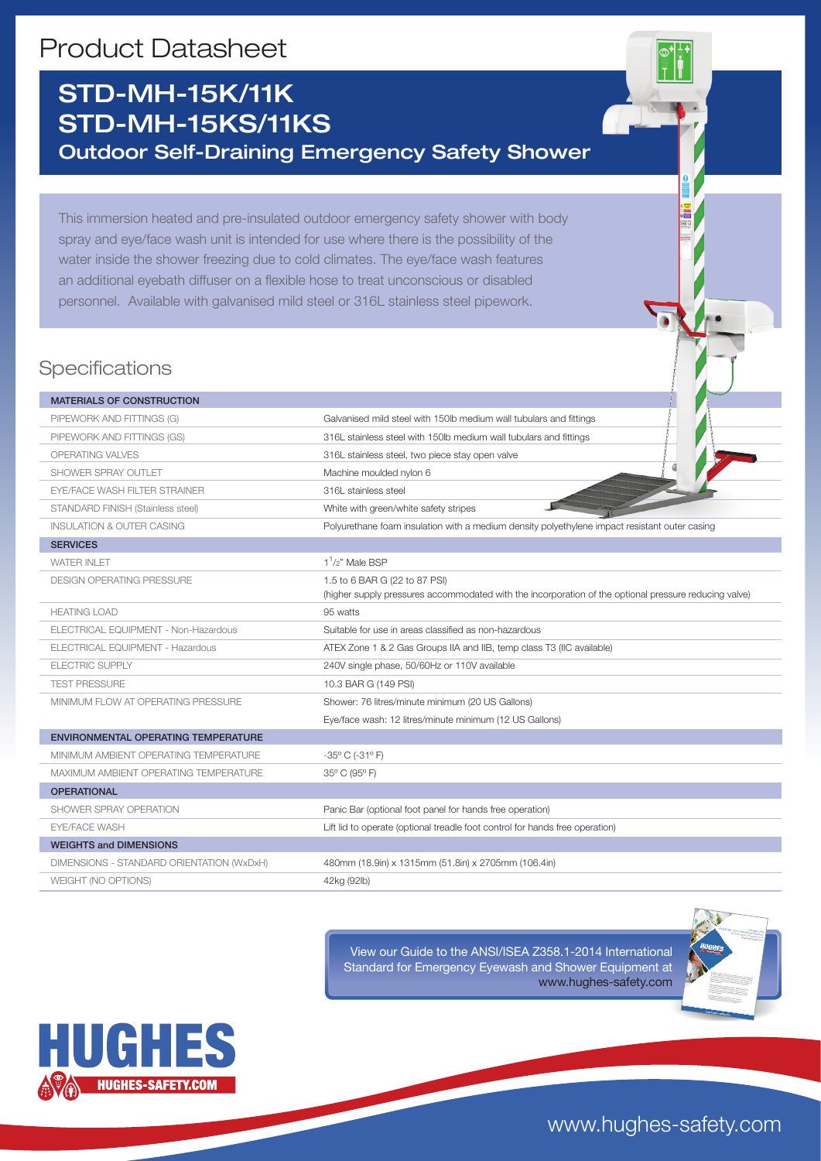# Product Datasheet

## STD-MH-15K/11K STD-MH-15KS/11KS Outdoor Self-Draining Emergency Safety Shower

This immersion heated and pre-insulated outdoor emergency safety shower with body spray and eye/face wash unit is intended for use where there is the possibility of the water inside the shower freezing due to cold climates. The eye/face wash features an additional eyebath diffuser on a flexible hose to treat unconscious or disabled personnel. Available with galvanised mild steel or 316L stainless steel pipework.

## **Specifications**

| <b>MATERIALS OF CONSTRUCTION</b>           |                                                                                                                                        |
|--------------------------------------------|----------------------------------------------------------------------------------------------------------------------------------------|
| PIPEWORK AND FITTINGS (G)                  | Galvanised mild steel with 150lb medium wall tubulars and fittings                                                                     |
| PIPEWORK AND FITTINGS (GS)                 | 316L stainless steel with 150lb medium wall tubulars and fittings                                                                      |
| OPERATING VALVES                           | 316L stainless steel, two piece stay open valve                                                                                        |
| SHOWER SPRAY OUTLET                        | Machine moulded nylon 6                                                                                                                |
| <b>EYE/FACE WASH FILTER STRAINER</b>       | 316L stainless steel                                                                                                                   |
| STANDARD FINISH (Stainless steel)          | White with green/white safety stripes                                                                                                  |
| <b>INSULATION &amp; OUTER CASING</b>       | Polyurethane foam insulation with a medium density polyethylene impact resistant outer casing                                          |
| <b>SERVICES</b>                            |                                                                                                                                        |
| <b>WATER INLET</b>                         | $11/2$ " Male BSP                                                                                                                      |
| <b>DESIGN OPERATING PRESSURE</b>           | 1.5 to 6 BAR G (22 to 87 PSI)<br>(higher supply pressures accommodated with the incorporation of the optional pressure reducing valve) |
| <b>HEATING LOAD</b>                        | 95 watts                                                                                                                               |
| ELECTRICAL EQUIPMENT - Non-Hazardous       | Suitable for use in areas classified as non-hazardous                                                                                  |
| ELECTRICAL EQUIPMENT - Hazardous           | ATEX Zone 1 & 2 Gas Groups IIA and IIB, temp class T3 (IIC available)                                                                  |
| <b>ELECTRIC SUPPLY</b>                     | 240V single phase, 50/60Hz or 110V available                                                                                           |
| <b>TEST PRESSURE</b>                       | 10.3 BAR G (149 PSI)                                                                                                                   |
| MINIMUM FLOW AT OPERATING PRESSURE         | Shower: 76 litres/minute minimum (20 US Gallons)                                                                                       |
|                                            | Eye/face wash: 12 litres/minute minimum (12 US Gallons)                                                                                |
| <b>ENVIRONMENTAL OPERATING TEMPERATURE</b> |                                                                                                                                        |
| MINIMUM AMBIENT OPERATING TEMPERATURE      | $-35^{\circ}$ C ( $-31^{\circ}$ F)                                                                                                     |
| MAXIMUM AMBIENT OPERATING TEMPERATURE      | 35° C (95° F)                                                                                                                          |
| <b>OPERATIONAL</b>                         |                                                                                                                                        |
| SHOWER SPRAY OPERATION                     | Panic Bar (optional foot panel for hands free operation)                                                                               |
| <b>EYE/FACE WASH</b>                       | Lift lid to operate (optional treadle foot control for hands free operation)                                                           |
| <b>WEIGHTS and DIMENSIONS</b>              |                                                                                                                                        |
| DIMENSIONS - STANDARD ORIENTATION (WxDxH)  | 480mm (18.9in) x 1315mm (51.8in) x 2705mm (106.4in)                                                                                    |
| WEIGHT (NO OPTIONS)                        | 42kg (92lb)                                                                                                                            |

View our Guide to the ANSI/ISEA Z358.1-2014 International Standard for Emergency Eyewash and Shower Equipment at www.hughes-safety.com



www.hughes-safety.com